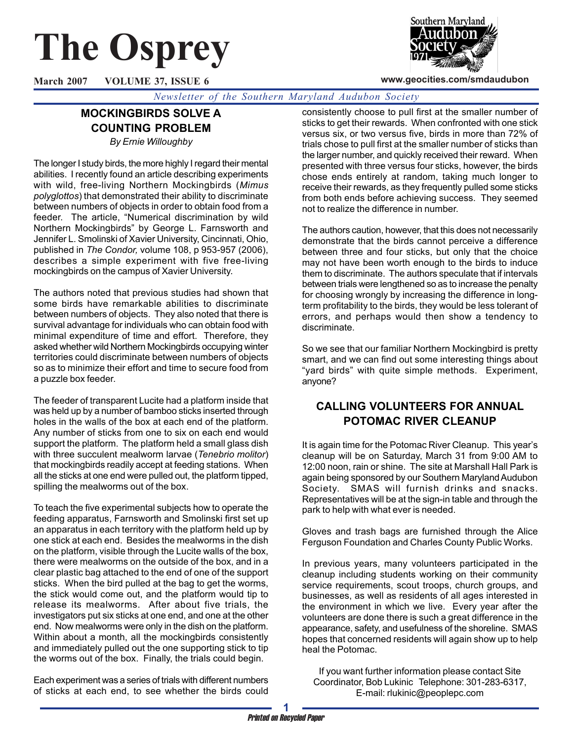# **The Osprey**

Southern Marvland

**www.geocities.com/smdaudubon**

**March 2007 VOLUME 37, ISSUE 6**

*Newsletter of the Southern Maryland Audubon Society*

## **MOCKINGBIRDS SOLVE A COUNTING PROBLEM**

*By Ernie Willoughby*

The longer I study birds, the more highly I regard their mental abilities. I recently found an article describing experiments with wild, free-living Northern Mockingbirds (*Mimus polyglottos*) that demonstrated their ability to discriminate between numbers of objects in order to obtain food from a feeder. The article, "Numerical discrimination by wild Northern Mockingbirds" by George L. Farnsworth and Jennifer L. Smolinski of Xavier University, Cincinnati, Ohio, published in *The Condor,* volume 108, p 953-957 (2006), describes a simple experiment with five free-living mockingbirds on the campus of Xavier University.

The authors noted that previous studies had shown that some birds have remarkable abilities to discriminate between numbers of objects. They also noted that there is survival advantage for individuals who can obtain food with minimal expenditure of time and effort. Therefore, they asked whether wild Northern Mockingbirds occupying winter territories could discriminate between numbers of objects so as to minimize their effort and time to secure food from a puzzle box feeder.

The feeder of transparent Lucite had a platform inside that was held up by a number of bamboo sticks inserted through holes in the walls of the box at each end of the platform. Any number of sticks from one to six on each end would support the platform. The platform held a small glass dish with three succulent mealworm larvae (*Tenebrio molitor*) that mockingbirds readily accept at feeding stations. When all the sticks at one end were pulled out, the platform tipped, spilling the mealworms out of the box.

To teach the five experimental subjects how to operate the feeding apparatus, Farnsworth and Smolinski first set up an apparatus in each territory with the platform held up by one stick at each end. Besides the mealworms in the dish on the platform, visible through the Lucite walls of the box, there were mealworms on the outside of the box, and in a clear plastic bag attached to the end of one of the support sticks. When the bird pulled at the bag to get the worms, the stick would come out, and the platform would tip to release its mealworms. After about five trials, the investigators put six sticks at one end, and one at the other end. Now mealworms were only in the dish on the platform. Within about a month, all the mockingbirds consistently and immediately pulled out the one supporting stick to tip the worms out of the box. Finally, the trials could begin.

Each experiment was a series of trials with different numbers of sticks at each end, to see whether the birds could consistently choose to pull first at the smaller number of sticks to get their rewards. When confronted with one stick versus six, or two versus five, birds in more than 72% of trials chose to pull first at the smaller number of sticks than the larger number, and quickly received their reward. When presented with three versus four sticks, however, the birds chose ends entirely at random, taking much longer to receive their rewards, as they frequently pulled some sticks from both ends before achieving success. They seemed not to realize the difference in number.

The authors caution, however, that this does not necessarily demonstrate that the birds cannot perceive a difference between three and four sticks, but only that the choice may not have been worth enough to the birds to induce them to discriminate. The authors speculate that if intervals between trials were lengthened so as to increase the penalty for choosing wrongly by increasing the difference in longterm profitability to the birds, they would be less tolerant of errors, and perhaps would then show a tendency to discriminate.

So we see that our familiar Northern Mockingbird is pretty smart, and we can find out some interesting things about "yard birds" with quite simple methods. Experiment, anyone?

## **CALLING VOLUNTEERS FOR ANNUAL POTOMAC RIVER CLEANUP**

It is again time for the Potomac River Cleanup. This year's cleanup will be on Saturday, March 31 from 9:00 AM to 12:00 noon, rain or shine. The site at Marshall Hall Park is again being sponsored by our Southern Maryland Audubon Society. SMAS will furnish drinks and snacks. Representatives will be at the sign-in table and through the park to help with what ever is needed.

Gloves and trash bags are furnished through the Alice Ferguson Foundation and Charles County Public Works.

In previous years, many volunteers participated in the cleanup including students working on their community service requirements, scout troops, church groups, and businesses, as well as residents of all ages interested in the environment in which we live. Every year after the volunteers are done there is such a great difference in the appearance, safety, and usefulness of the shoreline. SMAS hopes that concerned residents will again show up to help heal the Potomac.

If you want further information please contact Site Coordinator, Bob Lukinic Telephone: 301-283-6317, E-mail: rlukinic@peoplepc.com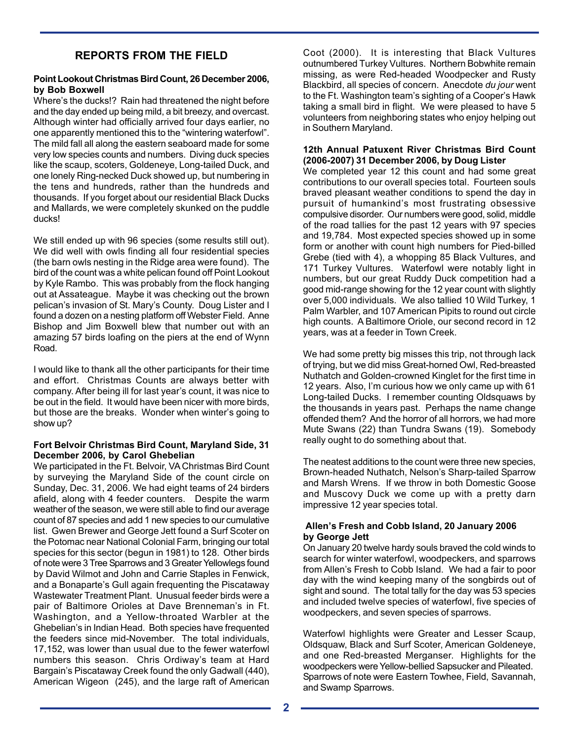## **REPORTS FROM THE FIELD**

#### **Point Lookout Christmas Bird Count, 26 December 2006, by Bob Boxwell**

Where's the ducks!? Rain had threatened the night before and the day ended up being mild, a bit breezy, and overcast. Although winter had officially arrived four days earlier, no one apparently mentioned this to the "wintering waterfowl". The mild fall all along the eastern seaboard made for some very low species counts and numbers. Diving duck species like the scaup, scoters, Goldeneye, Long-tailed Duck, and one lonely Ring-necked Duck showed up, but numbering in the tens and hundreds, rather than the hundreds and thousands. If you forget about our residential Black Ducks and Mallards, we were completely skunked on the puddle ducks!

We still ended up with 96 species (some results still out). We did well with owls finding all four residential species (the barn owls nesting in the Ridge area were found). The bird of the count was a white pelican found off Point Lookout by Kyle Rambo. This was probably from the flock hanging out at Assateague. Maybe it was checking out the brown pelican's invasion of St. Mary's County. Doug Lister and I found a dozen on a nesting platform off Webster Field. Anne Bishop and Jim Boxwell blew that number out with an amazing 57 birds loafing on the piers at the end of Wynn Road.

I would like to thank all the other participants for their time and effort. Christmas Counts are always better with company. After being ill for last year's count, it was nice to be out in the field. It would have been nicer with more birds, but those are the breaks. Wonder when winter's going to show up?

#### **Fort Belvoir Christmas Bird Count, Maryland Side, 31 December 2006, by Carol Ghebelian**

We participated in the Ft. Belvoir, VA Christmas Bird Count by surveying the Maryland Side of the count circle on Sunday, Dec. 31, 2006. We had eight teams of 24 birders afield, along with 4 feeder counters. Despite the warm weather of the season, we were still able to find our average count of 87 species and add 1 new species to our cumulative list. Gwen Brewer and George Jett found a Surf Scoter on the Potomac near National Colonial Farm, bringing our total species for this sector (begun in 1981) to 128. Other birds of note were 3 Tree Sparrows and 3 Greater Yellowlegs found by David Wilmot and John and Carrie Staples in Fenwick, and a Bonaparte's Gull again frequenting the Piscataway Wastewater Treatment Plant. Unusual feeder birds were a pair of Baltimore Orioles at Dave Brenneman's in Ft. Washington, and a Yellow-throated Warbler at the Ghebelian's in Indian Head. Both species have frequented the feeders since mid-November. The total individuals, 17,152, was lower than usual due to the fewer waterfowl numbers this season. Chris Ordiway's team at Hard Bargain's Piscataway Creek found the only Gadwall (440), American Wigeon (245), and the large raft of American

Coot (2000). It is interesting that Black Vultures outnumbered Turkey Vultures. Northern Bobwhite remain missing, as were Red-headed Woodpecker and Rusty Blackbird, all species of concern. Anecdote *du jour* went to the Ft. Washington team's sighting of a Cooper's Hawk taking a small bird in flight. We were pleased to have 5 volunteers from neighboring states who enjoy helping out in Southern Maryland.

#### **12th Annual Patuxent River Christmas Bird Count (2006-2007) 31 December 2006, by Doug Lister**

We completed year 12 this count and had some great contributions to our overall species total. Fourteen souls braved pleasant weather conditions to spend the day in pursuit of humankind's most frustrating obsessive compulsive disorder. Our numbers were good, solid, middle of the road tallies for the past 12 years with 97 species and 19,784. Most expected species showed up in some form or another with count high numbers for Pied-billed Grebe (tied with 4), a whopping 85 Black Vultures, and 171 Turkey Vultures. Waterfowl were notably light in numbers, but our great Ruddy Duck competition had a good mid-range showing for the 12 year count with slightly over 5,000 individuals. We also tallied 10 Wild Turkey, 1 Palm Warbler, and 107 American Pipits to round out circle high counts. A Baltimore Oriole, our second record in 12 years, was at a feeder in Town Creek.

We had some pretty big misses this trip, not through lack of trying, but we did miss Great-horned Owl, Red-breasted Nuthatch and Golden-crowned Kinglet for the first time in 12 years. Also, I'm curious how we only came up with 61 Long-tailed Ducks. I remember counting Oldsquaws by the thousands in years past. Perhaps the name change offended them? And the horror of all horrors, we had more Mute Swans (22) than Tundra Swans (19). Somebody really ought to do something about that.

The neatest additions to the count were three new species, Brown-headed Nuthatch, Nelson's Sharp-tailed Sparrow and Marsh Wrens. If we throw in both Domestic Goose and Muscovy Duck we come up with a pretty darn impressive 12 year species total.

#### **Allen's Fresh and Cobb Island, 20 January 2006 by George Jett**

On January 20 twelve hardy souls braved the cold winds to search for winter waterfowl, woodpeckers, and sparrows from Allen's Fresh to Cobb Island. We had a fair to poor day with the wind keeping many of the songbirds out of sight and sound. The total tally for the day was 53 species and included twelve species of waterfowl, five species of woodpeckers, and seven species of sparrows.

Waterfowl highlights were Greater and Lesser Scaup, Oldsquaw, Black and Surf Scoter, American Goldeneye, and one Red-breasted Merganser. Highlights for the woodpeckers were Yellow-bellied Sapsucker and Pileated. Sparrows of note were Eastern Towhee, Field, Savannah, and Swamp Sparrows.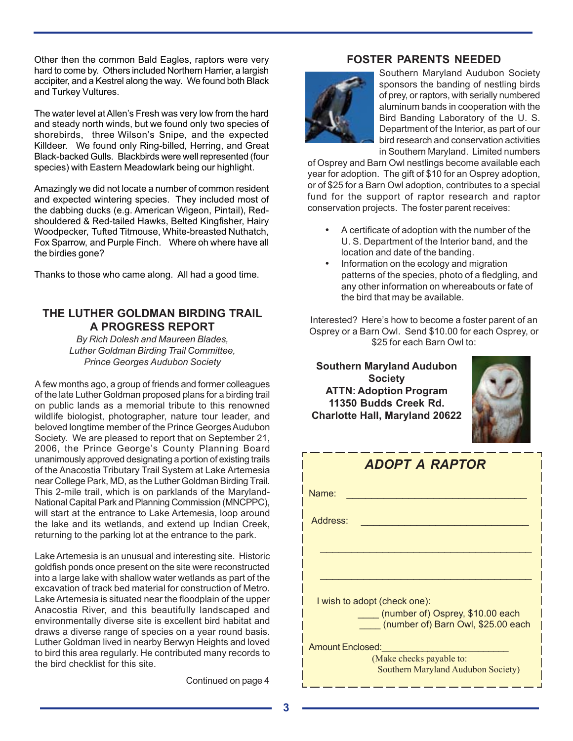Other then the common Bald Eagles, raptors were very hard to come by. Others included Northern Harrier, a largish accipiter, and a Kestrel along the way. We found both Black and Turkey Vultures.

The water level at Allen's Fresh was very low from the hard and steady north winds, but we found only two species of shorebirds, three Wilson's Snipe, and the expected Killdeer. We found only Ring-billed, Herring, and Great Black-backed Gulls. Blackbirds were well represented (four species) with Eastern Meadowlark being our highlight.

Amazingly we did not locate a number of common resident and expected wintering species. They included most of the dabbing ducks (e.g. American Wigeon, Pintail), Redshouldered & Red-tailed Hawks, Belted Kingfisher, Hairy Woodpecker, Tufted Titmouse, White-breasted Nuthatch, Fox Sparrow, and Purple Finch. Where oh where have all the birdies gone?

Thanks to those who came along. All had a good time.

## **THE LUTHER GOLDMAN BIRDING TRAIL A PROGRESS REPORT**

*By Rich Dolesh and Maureen Blades, Luther Goldman Birding Trail Committee, Prince Georges Audubon Society*

A few months ago, a group of friends and former colleagues of the late Luther Goldman proposed plans for a birding trail on public lands as a memorial tribute to this renowned wildlife biologist, photographer, nature tour leader, and beloved longtime member of the Prince Georges Audubon Society. We are pleased to report that on September 21, 2006, the Prince George's County Planning Board unanimously approved designating a portion of existing trails of the Anacostia Tributary Trail System at Lake Artemesia near College Park, MD, as the Luther Goldman Birding Trail. This 2-mile trail, which is on parklands of the Maryland-National Capital Park and Planning Commission (MNCPPC), will start at the entrance to Lake Artemesia, loop around the lake and its wetlands, and extend up Indian Creek, returning to the parking lot at the entrance to the park.

Lake Artemesia is an unusual and interesting site. Historic goldfish ponds once present on the site were reconstructed into a large lake with shallow water wetlands as part of the excavation of track bed material for construction of Metro. Lake Artemesia is situated near the floodplain of the upper Anacostia River, and this beautifully landscaped and environmentally diverse site is excellent bird habitat and draws a diverse range of species on a year round basis. Luther Goldman lived in nearby Berwyn Heights and loved to bird this area regularly. He contributed many records to the bird checklist for this site.

Continued on page 4

### **FOSTER PARENTS NEEDED**



Southern Maryland Audubon Society sponsors the banding of nestling birds of prey, or raptors, with serially numbered aluminum bands in cooperation with the Bird Banding Laboratory of the U. S. Department of the Interior, as part of our bird research and conservation activities in Southern Maryland. Limited numbers

of Osprey and Barn Owl nestlings become available each year for adoption. The gift of \$10 for an Osprey adoption, or of \$25 for a Barn Owl adoption, contributes to a special fund for the support of raptor research and raptor conservation projects. The foster parent receives:

- A certificate of adoption with the number of the U. S. Department of the Interior band, and the location and date of the banding.
- Information on the ecology and migration patterns of the species, photo of a fledgling, and any other information on whereabouts or fate of the bird that may be available.

Interested? Here's how to become a foster parent of an Osprey or a Barn Owl. Send \$10.00 for each Osprey, or \$25 for each Barn Owl to:

**Southern Maryland Audubon Society ATTN: Adoption Program 11350 Budds Creek Rd. Charlotte Hall, Maryland 20622**



| <b>ADOPT A RAPTOR</b>                                                  |  |  |  |  |  |
|------------------------------------------------------------------------|--|--|--|--|--|
| Name:                                                                  |  |  |  |  |  |
| Address:                                                               |  |  |  |  |  |
|                                                                        |  |  |  |  |  |
|                                                                        |  |  |  |  |  |
| I wish to adopt (check one):                                           |  |  |  |  |  |
| (number of) Osprey, \$10.00 each<br>(number of) Barn Owl, \$25.00 each |  |  |  |  |  |
| <b>Amount Enclosed:</b><br>(Make checks payable to:                    |  |  |  |  |  |
| Southern Maryland Audubon Society)                                     |  |  |  |  |  |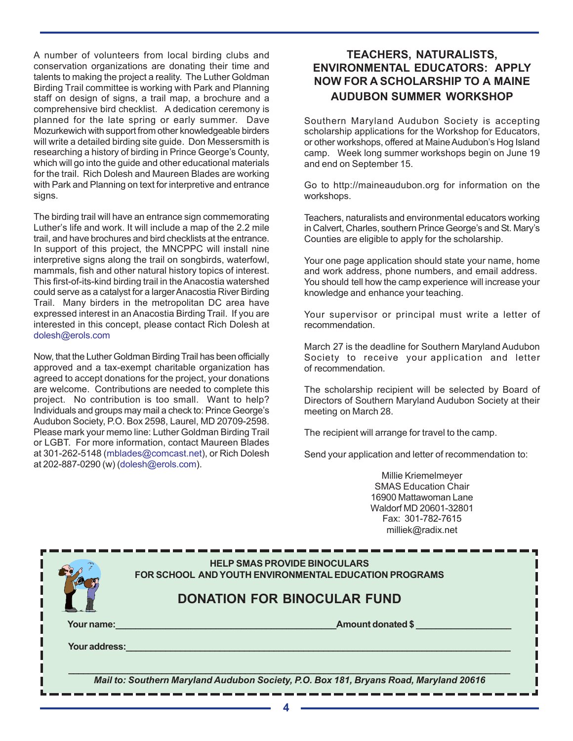A number of volunteers from local birding clubs and conservation organizations are donating their time and talents to making the project a reality. The Luther Goldman Birding Trail committee is working with Park and Planning staff on design of signs, a trail map, a brochure and a comprehensive bird checklist. A dedication ceremony is planned for the late spring or early summer. Dave Mozurkewich with support from other knowledgeable birders will write a detailed birding site guide. Don Messersmith is researching a history of birding in Prince George's County, which will go into the guide and other educational materials for the trail. Rich Dolesh and Maureen Blades are working with Park and Planning on text for interpretive and entrance signs.

The birding trail will have an entrance sign commemorating Luther's life and work. It will include a map of the 2.2 mile trail, and have brochures and bird checklists at the entrance. In support of this project, the MNCPPC will install nine interpretive signs along the trail on songbirds, waterfowl, mammals, fish and other natural history topics of interest. This first-of-its-kind birding trail in the Anacostia watershed could serve as a catalyst for a larger Anacostia River Birding Trail. Many birders in the metropolitan DC area have expressed interest in an Anacostia Birding Trail. If you are interested in this concept, please contact Rich Dolesh at dolesh@erols.com

Now, that the Luther Goldman Birding Trail has been officially approved and a tax-exempt charitable organization has agreed to accept donations for the project, your donations are welcome. Contributions are needed to complete this project. No contribution is too small. Want to help? Individuals and groups may mail a check to: Prince George's Audubon Society, P.O. Box 2598, Laurel, MD 20709-2598. Please mark your memo line: Luther Goldman Birding Trail or LGBT. For more information, contact Maureen Blades at 301-262-5148 (mblades@comcast.net), or Rich Dolesh at 202-887-0290 (w) (dolesh@erols.com).

## **TEACHERS, NATURALISTS, ENVIRONMENTAL EDUCATORS: APPLY NOW FOR A SCHOLARSHIP TO A MAINE AUDUBON SUMMER WORKSHOP**

Southern Maryland Audubon Society is accepting scholarship applications for the Workshop for Educators, or other workshops, offered at Maine Audubon's Hog Island camp. Week long summer workshops begin on June 19 and end on September 15.

Go to http://maineaudubon.org for information on the workshops.

Teachers, naturalists and environmental educators working in Calvert, Charles, southern Prince George's and St. Mary's Counties are eligible to apply for the scholarship.

Your one page application should state your name, home and work address, phone numbers, and email address. You should tell how the camp experience will increase your knowledge and enhance your teaching.

Your supervisor or principal must write a letter of recommendation.

March 27 is the deadline for Southern Maryland Audubon Society to receive your application and letter of recommendation.

The scholarship recipient will be selected by Board of Directors of Southern Maryland Audubon Society at their meeting on March 28.

The recipient will arrange for travel to the camp.

Send your application and letter of recommendation to:

Millie Kriemelmeyer SMAS Education Chair 16900 Mattawoman Lane Waldorf MD 20601-32801 Fax: 301-782-7615 milliek@radix.net

|                                                                                       | <b>HELP SMAS PROVIDE BINOCULARS</b><br><b>FOR SCHOOL AND YOUTH ENVIRONMENTAL EDUCATION PROGRAMS</b> |  |  |  |  |
|---------------------------------------------------------------------------------------|-----------------------------------------------------------------------------------------------------|--|--|--|--|
|                                                                                       | <b>DONATION FOR BINOCULAR FUND</b>                                                                  |  |  |  |  |
| Your name:                                                                            | <b>Amount donated \$</b>                                                                            |  |  |  |  |
| Your address:                                                                         |                                                                                                     |  |  |  |  |
|                                                                                       |                                                                                                     |  |  |  |  |
| Mail to: Southern Maryland Audubon Society, P.O. Box 181, Bryans Road, Maryland 20616 |                                                                                                     |  |  |  |  |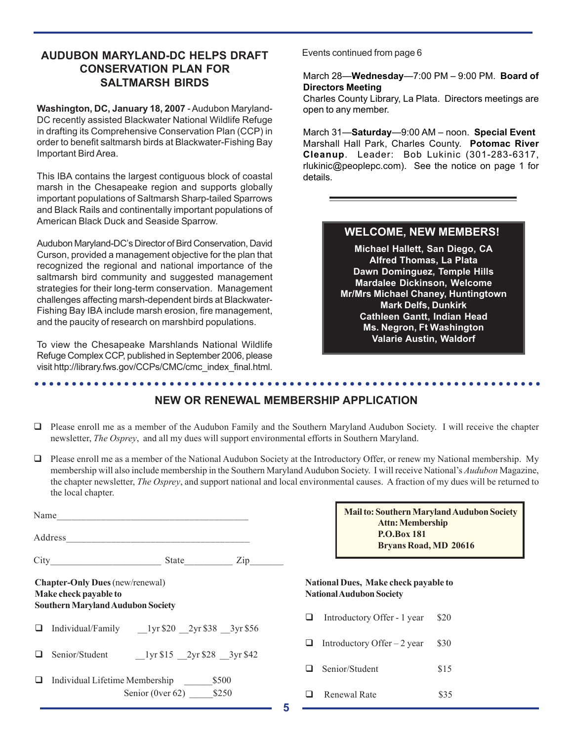### **AUDUBON MARYLAND-DC HELPS DRAFT CONSERVATION PLAN FOR SALTMARSH BIRDS**

**Washington, DC, January 18, 2007** - Audubon Maryland-DC recently assisted Blackwater National Wildlife Refuge in drafting its Comprehensive Conservation Plan (CCP) in order to benefit saltmarsh birds at Blackwater-Fishing Bay Important Bird Area.

This IBA contains the largest contiguous block of coastal marsh in the Chesapeake region and supports globally important populations of Saltmarsh Sharp-tailed Sparrows and Black Rails and continentally important populations of American Black Duck and Seaside Sparrow.

Audubon Maryland-DC's Director of Bird Conservation, David Curson, provided a management objective for the plan that recognized the regional and national importance of the saltmarsh bird community and suggested management strategies for their long-term conservation. Management challenges affecting marsh-dependent birds at Blackwater-Fishing Bay IBA include marsh erosion, fire management, and the paucity of research on marshbird populations.

To view the Chesapeake Marshlands National Wildlife Refuge Complex CCP, published in September 2006, please visit http://library.fws.gov/CCPs/CMC/cmc\_index\_final.html.

Events continued from page 6

#### March 28—**Wednesday**—7:00 PM – 9:00 PM. **Board of Directors Meeting**

Charles County Library, La Plata. Directors meetings are open to any member.

March 31—**Saturday**—9:00 AM – noon. **Special Event** Marshall Hall Park, Charles County. **Potomac River Cleanup**. Leader: Bob Lukinic (301-283-6317, rlukinic@peoplepc.com). See the notice on page 1 for details.

## **WELCOME, NEW MEMBERS!**

**Michael Hallett, San Diego, CA Alfred Thomas, La Plata Dawn Dominguez, Temple Hills Mardalee Dickinson, Welcome Mr/Mrs Michael Chaney, Huntingtown Mark Delfs, Dunkirk Cathleen Gantt, Indian Head Ms. Negron, Ft Washington Valarie Austin, Waldorf**

#### ○○○○○○○○○○○○○○○○○○○○○○○○○○○○○○○○○○○○○○○○○○○○ ○○○○○○○○○○○○○○○○○○○○○○○○ **NEW OR RENEWAL MEMBERSHIP APPLICATION**

- Please enroll me as a member of the Audubon Family and the Southern Maryland Audubon Society. I will receive the chapter newsletter, *The Osprey*, and all my dues will support environmental efforts in Southern Maryland.
- $\Box$  Please enroll me as a member of the National Audubon Society at the Introductory Offer, or renew my National membership. My membership will also include membership in the Southern Maryland Audubon Society. I will receive National's *Audubon* Magazine, the chapter newsletter, *The Osprey*, and support national and local environmental causes. A fraction of my dues will be returned to the local chapter.

|                                                                                                             | Name                                                               |                                                                                                |     |  |  |
|-------------------------------------------------------------------------------------------------------------|--------------------------------------------------------------------|------------------------------------------------------------------------------------------------|-----|--|--|
|                                                                                                             |                                                                    |                                                                                                |     |  |  |
|                                                                                                             |                                                                    | State $\frac{1}{\sqrt{1-\frac{1}{2}} \cdot \frac{1}{\sqrt{1-\frac{1}{2}} \cdot \frac{1}{2}}}}$ | Zip |  |  |
| <b>Chapter-Only Dues</b> (new/renewal)<br>Make check payable to<br><b>Southern Maryland Audubon Society</b> |                                                                    |                                                                                                |     |  |  |
|                                                                                                             |                                                                    |                                                                                                |     |  |  |
|                                                                                                             | Senior/Student 1yr \$15 2yr \$28 3yr \$42                          |                                                                                                |     |  |  |
|                                                                                                             | \$500<br>Individual Lifetime Membership<br>Senior (0ver 62) $$250$ |                                                                                                |     |  |  |

**Mail to: Southern Maryland Audubon Society Attn: Membership P.O.Box 181 Bryans Road, MD 20616**

#### **National Dues, Make check payable to National Audubon Society**

 $\Box$  Introductory Offer - 1 year \$20 **Introductory Offer** – 2 year  $$30$ Senior/Student \$15 **a** Renewal Rate \$35